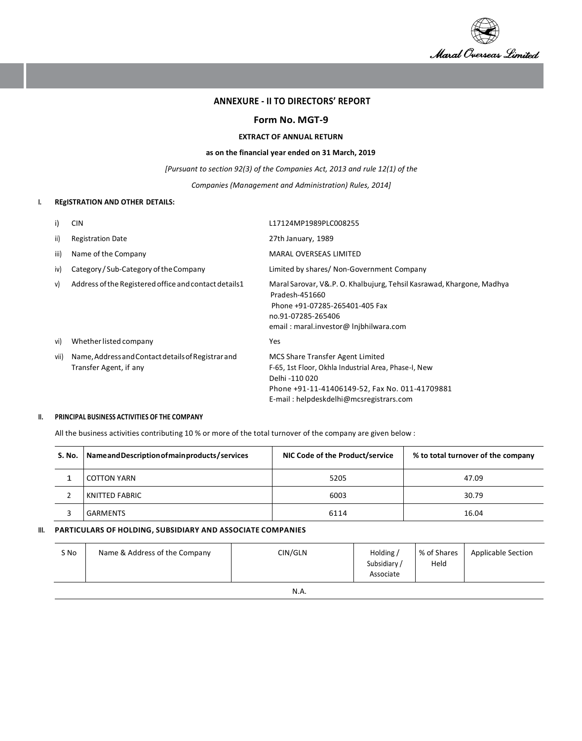

### **ANNEXURE - II TO DIRECTORS' REPORT**

### **Form No. MGT-9**

#### **EXTRACT OF ANNUAL RETURN**

### **as on the financial year ended on 31 March, 2019**

*[Pursuant to section 92(3) of the Companies Act, 2013 and rule 12(1) of the* 

*Companies (Management and Administration) Rules, 2014]*

## **I. REgISTRATION AND OTHER DETAILS:**

| i)   | <b>CIN</b>                                                                   | L17124MP1989PLC008255                                                                                                                                                                                   |
|------|------------------------------------------------------------------------------|---------------------------------------------------------------------------------------------------------------------------------------------------------------------------------------------------------|
| ii)  | <b>Registration Date</b>                                                     | 27th January, 1989                                                                                                                                                                                      |
| iii) | Name of the Company                                                          | <b>MARAL OVERSEAS LIMITED</b>                                                                                                                                                                           |
| iv)  | Category / Sub-Category of the Company                                       | Limited by shares/ Non-Government Company                                                                                                                                                               |
| V)   | Address of the Registered office and contact details 1                       | Maral Sarovar, V&.P. O. Khalbujurg, Tehsil Kasrawad, Khargone, Madhya<br>Pradesh-451660<br>Phone +91-07285-265401-405 Fax<br>no.91-07285-265406<br>email: maral.investor@ Injbhilwara.com               |
| vi)  | Whether listed company                                                       | Yes                                                                                                                                                                                                     |
| vii) | Name, Address and Contact details of Registrar and<br>Transfer Agent, if any | MCS Share Transfer Agent Limited<br>F-65, 1st Floor, Okhla Industrial Area, Phase-I, New<br>Delhi -110 020<br>Phone +91-11-41406149-52, Fax No. 011-41709881<br>E-mail: helpdeskdelhi@mcsregistrars.com |

#### **II. PRINCIPAL BUSINESS ACTIVITIES OF THE COMPANY**

All the business activities contributing 10 % or more of the total turnover of the company are given below :

| S. No. | Name and Description of main products / services | NIC Code of the Product/service | % to total turnover of the company |  |  |
|--------|--------------------------------------------------|---------------------------------|------------------------------------|--|--|
|        | COTTON YARN                                      | 5205                            | 47.09                              |  |  |
|        | KNITTED FABRIC                                   | 6003                            | 30.79                              |  |  |
|        | GARMENTS                                         | 6114                            | 16.04                              |  |  |

## **III. PARTICULARS OF HOLDING, SUBSIDIARY AND ASSOCIATE COMPANIES**

| S No | Name & Address of the Company | CIN/GLN  | Holding /<br>Subsidiary<br>Associate | % of Shares<br>Held | <b>Applicable Section</b> |
|------|-------------------------------|----------|--------------------------------------|---------------------|---------------------------|
|      |                               | $\cdots$ |                                      |                     |                           |

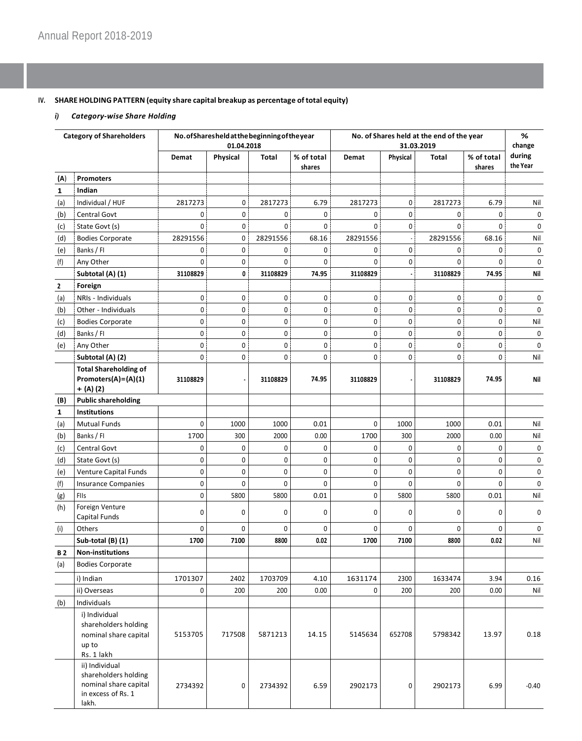# **IV. SHARE HOLDING PATTERN (equity share capital breakup as percentage oftotal equity)**

# *i) Category-wise Share Holding*

| <b>Category of Shareholders</b> |                                                                                                | No.ofSharesheld at the beginning of the year<br>01.04.2018 |                |             |                      | No. of Shares held at the end of the year<br>31.03.2019 |                          |             |                      | %<br>change        |
|---------------------------------|------------------------------------------------------------------------------------------------|------------------------------------------------------------|----------------|-------------|----------------------|---------------------------------------------------------|--------------------------|-------------|----------------------|--------------------|
|                                 |                                                                                                | Demat                                                      | Physical       | Total       | % of total<br>shares | Demat                                                   | Physical                 | Total       | % of total<br>shares | during<br>the Year |
| (A)                             | <b>Promoters</b>                                                                               |                                                            |                |             |                      |                                                         |                          |             |                      |                    |
| 1                               | Indian                                                                                         |                                                            |                |             |                      |                                                         |                          |             |                      |                    |
| (a)                             | Individual / HUF                                                                               | 2817273                                                    | 0              | 2817273     | 6.79                 | 2817273                                                 | 0                        | 2817273     | 6.79                 | Nil                |
| (b)                             | Central Govt                                                                                   | 0                                                          | 0 <sup>1</sup> | 0           | 0                    | 0                                                       | 0                        | 0           | 0                    | 0                  |
| (c)                             | State Govt (s)                                                                                 | $\Omega$                                                   | $\mathbf{0}$   | 0           | 0                    | $\mathbf 0$                                             | 0                        | $\Omega$    | 0                    | 0                  |
| (d)                             | <b>Bodies Corporate</b>                                                                        | 28291556                                                   | 0              | 28291556    | 68.16                | 28291556                                                | $\overline{\phantom{a}}$ | 28291556    | 68.16                | Nil                |
| (e)                             | Banks / Fl                                                                                     | 0                                                          | 0              | 0           | 0                    | 0                                                       | 0                        | 0           | 0                    | 0                  |
| (f)                             | Any Other                                                                                      | $\Omega$                                                   | 0              | $\Omega$    | 0                    | $\Omega$                                                | 0                        | $\Omega$    | $\Omega$             | 0                  |
|                                 | Subtotal (A) (1)                                                                               | 31108829                                                   | 0              | 31108829    | 74.95                | 31108829                                                | $\epsilon$               | 31108829    | 74.95                | Nil                |
| $\mathbf{2}$                    | Foreign                                                                                        |                                                            |                |             |                      |                                                         |                          |             |                      |                    |
| (a)                             | NRIs - Individuals                                                                             | 0                                                          | 0              | $\mathbf 0$ | 0                    | 0                                                       | 0                        | $\mathbf 0$ | 0                    | 0                  |
| (b)                             | Other - Individuals                                                                            | 0                                                          | 0              | 0           | 0                    | 0                                                       | 0                        | 0           | 0                    | 0                  |
| (c)                             | <b>Bodies Corporate</b>                                                                        | $\pmb{0}$                                                  | 0              | 0           | 0                    | 0                                                       | 0                        | 0           | 0                    | Nil                |
| (d)                             | Banks / Fl                                                                                     | $\pmb{0}$                                                  | 0              | 0           | 0                    | 0                                                       | 0                        | 0           | 0                    | 0                  |
| (e)                             | Any Other                                                                                      | 0                                                          | 0              | 0           | 0                    | 0                                                       | 0                        | 0           | 0                    | 0                  |
|                                 | Subtotal (A) (2)                                                                               | 0                                                          | 0              | 0           | 0                    | 0                                                       | 0                        | 0           | 0                    | Nil                |
|                                 | <b>Total Shareholding of</b>                                                                   |                                                            |                |             |                      |                                                         |                          |             |                      |                    |
|                                 | Promoters(A)=(A)(1)<br>$+ (A) (2)$                                                             | 31108829                                                   |                | 31108829    | 74.95                | 31108829                                                |                          | 31108829    | 74.95                | Nil                |
| (B)                             | <b>Public shareholding</b>                                                                     |                                                            |                |             |                      |                                                         |                          |             |                      |                    |
| 1                               | <b>Institutions</b>                                                                            |                                                            |                |             |                      |                                                         |                          |             |                      |                    |
| (a)                             | Mutual Funds                                                                                   | 0                                                          | 1000           | 1000        | 0.01                 | 0                                                       | 1000                     | 1000        | 0.01                 | Nil                |
| (b)                             | Banks / Fl                                                                                     | 1700                                                       | 300            | 2000        | 0.00                 | 1700                                                    | 300                      | 2000        | 0.00                 | Nil                |
| (c)                             | Central Govt                                                                                   | 0                                                          | 0              | 0           | 0                    | 0                                                       | $\mathbf 0$              | 0           | 0                    | 0                  |
| (d)                             | State Govt (s)                                                                                 | $\mathbf 0$                                                | 0              | 0           | 0                    | 0                                                       | $\mathbf 0$              | 0           | 0                    | 0                  |
| (e)                             | Venture Capital Funds                                                                          | $\pmb{0}$                                                  | 0              | 0           | 0                    | 0                                                       | 0                        | 0           | 0                    | 0                  |
| (f)                             | <b>Insurance Companies</b>                                                                     | $\pmb{0}$                                                  | 0              | 0           | 0                    | 0                                                       | $\mathbf 0$              | 0           | 0                    | 0                  |
| (g)                             | FIIs                                                                                           | $\pmb{0}$                                                  | 5800           | 5800        | 0.01                 | 0                                                       | 5800                     | 5800        | 0.01                 | Nil                |
| (h)                             | Foreign Venture<br>Capital Funds                                                               | 0                                                          | 0              | 0           | 0                    | 0                                                       | 0                        | 0           | 0                    | 0                  |
| (i)                             | Others                                                                                         | 0                                                          | 0              | $\mathbf 0$ | $\mathbf 0$          | 0                                                       | $\mathbf 0$              | 0           | 0                    | $\mathbf 0$        |
|                                 | Sub-total (B) (1)                                                                              | 1700                                                       | 7100           | 8800        | 0.02                 | 1700                                                    | 7100                     | 8800        | 0.02                 | Nil                |
| <b>B2</b>                       | <b>Non-institutions</b>                                                                        |                                                            |                |             |                      |                                                         |                          |             |                      |                    |
| (a)                             | <b>Bodies Corporate</b>                                                                        |                                                            |                |             |                      |                                                         |                          |             |                      |                    |
|                                 | i) Indian                                                                                      | 1701307                                                    | 2402           | 1703709     | 4.10                 | 1631174                                                 | 2300                     | 1633474     | 3.94                 | 0.16               |
|                                 | ii) Overseas                                                                                   | 0                                                          | 200            | 200         | 0.00                 | 0                                                       | 200                      | 200         | 0.00                 | Nil                |
| (b)                             | Individuals                                                                                    |                                                            |                |             |                      |                                                         |                          |             |                      |                    |
|                                 | i) Individual<br>shareholders holding<br>nominal share capital<br>up to<br>Rs. 1 lakh          | 5153705                                                    | 717508         | 5871213     | 14.15                | 5145634                                                 | 652708                   | 5798342     | 13.97                | 0.18               |
|                                 | ii) Individual<br>shareholders holding<br>nominal share capital<br>in excess of Rs. 1<br>lakh. | 2734392                                                    | 0              | 2734392     | 6.59                 | 2902173                                                 | 0                        | 2902173     | 6.99                 | $-0.40$            |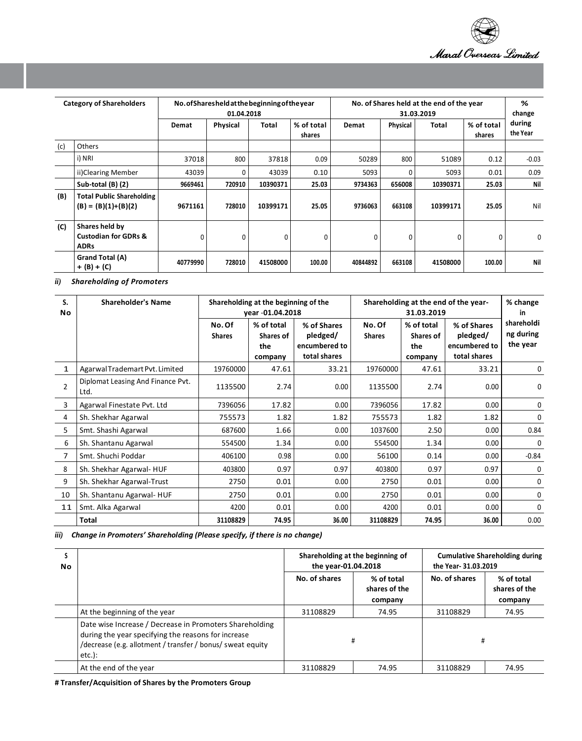

| <b>Category of Shareholders</b> |                                                                  | No. of Sharesheld at the beginning of the year<br>01.04.2018 |          |          |                      | No. of Shares held at the end of the year<br>31.03.2019 |          |          |                      | %<br>change        |
|---------------------------------|------------------------------------------------------------------|--------------------------------------------------------------|----------|----------|----------------------|---------------------------------------------------------|----------|----------|----------------------|--------------------|
|                                 |                                                                  | Demat                                                        | Physical | Total    | % of total<br>shares | Demat                                                   | Physical | Total    | % of total<br>shares | during<br>the Year |
| (c)                             | Others                                                           |                                                              |          |          |                      |                                                         |          |          |                      |                    |
|                                 | i) NRI                                                           | 37018                                                        | 800      | 37818    | 0.09                 | 50289                                                   | 800      | 51089    | 0.12                 | $-0.03$            |
|                                 | ii)Clearing Member                                               | 43039                                                        | 0        | 43039    | 0.10                 | 5093                                                    | 0        | 5093     | 0.01                 | 0.09               |
|                                 | Sub-total (B) (2)                                                | 9669461                                                      | 720910   | 10390371 | 25.03                | 9734363                                                 | 656008   | 10390371 | 25.03                | Nil                |
| (B)                             | <b>Total Public Shareholding</b><br>$(B) = (B)(1)+(B)(2)$        | 9671161                                                      | 728010   | 10399171 | 25.05                | 9736063                                                 | 663108   | 10399171 | 25.05                | Nil                |
| (C)                             | Shares held by<br><b>Custodian for GDRs &amp;</b><br><b>ADRs</b> | 0                                                            | 0        | $\Omega$ | 0                    | 0                                                       | 0        | 0        | 0                    | 0                  |
|                                 | Grand Total (A)<br>$+(B)+(C)$                                    | 40779990                                                     | 728010   | 41508000 | 100.00               | 40844892                                                | 663108   | 41508000 | 100.00               | Nil                |

*ii) Shareholding of Promoters*

| S.<br>No.      | <b>Shareholder's Name</b>                 | Shareholding at the beginning of the<br>vear -01.04.2018 |                                           |                                                          |                         | Shareholding at the end of the year-<br>31.03.2019 | % change<br>in                                           |                                     |
|----------------|-------------------------------------------|----------------------------------------------------------|-------------------------------------------|----------------------------------------------------------|-------------------------|----------------------------------------------------|----------------------------------------------------------|-------------------------------------|
|                |                                           | No. Of<br><b>Shares</b>                                  | % of total<br>Shares of<br>the<br>company | % of Shares<br>pledged/<br>encumbered to<br>total shares | No. Of<br><b>Shares</b> | % of total<br>Shares of<br>the<br>company          | % of Shares<br>pledged/<br>encumbered to<br>total shares | shareholdi<br>ng during<br>the year |
| $\mathbf{1}$   | Agarwal Trademart Pvt. Limited            | 19760000                                                 | 47.61                                     | 33.21                                                    | 19760000                | 47.61                                              | 33.21                                                    | 0                                   |
| $\overline{2}$ | Diplomat Leasing And Finance Pvt.<br>Ltd. | 1135500                                                  | 2.74                                      | 0.00                                                     | 1135500                 | 2.74                                               | 0.00                                                     | 0                                   |
| 3              | Agarwal Finestate Pvt. Ltd                | 7396056                                                  | 17.82                                     | 0.00                                                     | 7396056                 | 17.82                                              | 0.00                                                     | $\Omega$                            |
| 4              | Sh. Shekhar Agarwal                       | 755573                                                   | 1.82                                      | 1.82                                                     | 755573                  | 1.82                                               | 1.82                                                     | $\mathbf{0}$                        |
| 5              | Smt. Shashi Agarwal                       | 687600                                                   | 1.66                                      | 0.00                                                     | 1037600                 | 2.50                                               | 0.00                                                     | 0.84                                |
| 6              | Sh. Shantanu Agarwal                      | 554500                                                   | 1.34                                      | 0.00                                                     | 554500                  | 1.34                                               | 0.00                                                     | $\mathbf{0}$                        |
| 7              | Smt. Shuchi Poddar                        | 406100                                                   | 0.98                                      | 0.00                                                     | 56100                   | 0.14                                               | 0.00                                                     | $-0.84$                             |
| 8              | Sh. Shekhar Agarwal- HUF                  | 403800                                                   | 0.97                                      | 0.97                                                     | 403800                  | 0.97                                               | 0.97                                                     | 0                                   |
| 9              | Sh. Shekhar Agarwal-Trust                 | 2750                                                     | 0.01                                      | 0.00                                                     | 2750                    | 0.01                                               | 0.00                                                     | 0                                   |
| 10             | Sh. Shantanu Agarwal- HUF                 | 2750                                                     | 0.01                                      | 0.00                                                     | 2750                    | 0.01                                               | 0.00                                                     | 0                                   |
| 11             | Smt. Alka Agarwal                         | 4200                                                     | 0.01                                      | 0.00                                                     | 4200                    | 0.01                                               | 0.00                                                     | 0                                   |
|                | Total                                     | 31108829                                                 | 74.95                                     | 36.00                                                    | 31108829                | 74.95                                              | 36.00                                                    | 0.00                                |

*iii) Change in Promoters' Shareholding (Please specify, if there is no change)*

| <b>No</b> |                                                                                                                                                                                           | the year-01.04.2018 | Shareholding at the beginning of       |               | <b>Cumulative Shareholding during</b><br>the Year- 31.03.2019 |  |  |
|-----------|-------------------------------------------------------------------------------------------------------------------------------------------------------------------------------------------|---------------------|----------------------------------------|---------------|---------------------------------------------------------------|--|--|
|           |                                                                                                                                                                                           | No. of shares       | % of total<br>shares of the<br>company | No. of shares | % of total<br>shares of the<br>company                        |  |  |
|           | At the beginning of the year                                                                                                                                                              | 31108829            | 74.95                                  | 31108829      | 74.95                                                         |  |  |
|           | Date wise Increase / Decrease in Promoters Shareholding<br>during the year specifying the reasons for increase<br>/decrease (e.g. allotment / transfer / bonus/ sweat equity<br>$etc.$ ): | #                   |                                        | #             |                                                               |  |  |
|           | At the end of the year                                                                                                                                                                    | 31108829<br>74.95   |                                        | 31108829      | 74.95                                                         |  |  |

**# Transfer/Acquisition of Shares by the Promoters Group**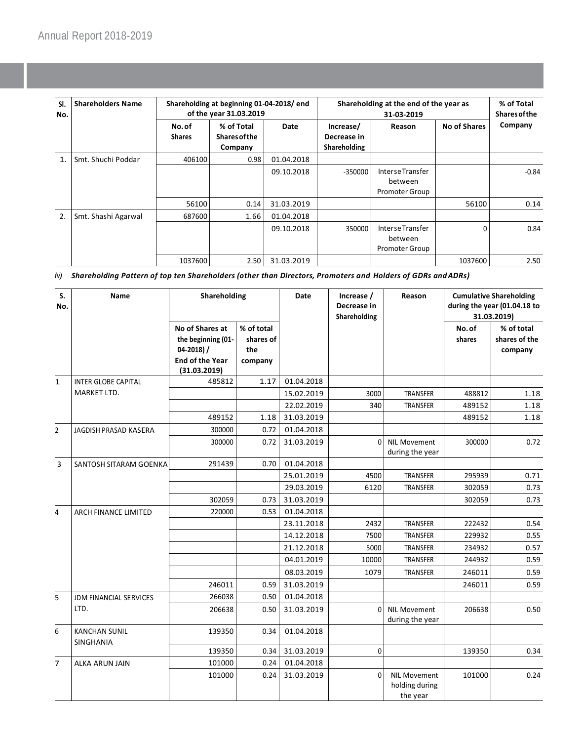| SI.<br>No.     | <b>Shareholders Name</b> | Shareholding at beginning 01-04-2018/end<br>of the year 31.03.2019 |                                               |            | Shareholding at the end of the year as   |                                                      | % of Total<br><b>Shares of the</b> |         |
|----------------|--------------------------|--------------------------------------------------------------------|-----------------------------------------------|------------|------------------------------------------|------------------------------------------------------|------------------------------------|---------|
|                |                          | No.of<br><b>Shares</b>                                             | % of Total<br><b>Shares of the</b><br>Company | Date       | Increase/<br>Decrease in<br>Shareholding | Reason                                               | <b>No of Shares</b>                | Company |
| $\mathbf{1}$ . | Smt. Shuchi Poddar       | 406100                                                             | 0.98                                          | 01.04.2018 |                                          |                                                      |                                    |         |
|                |                          |                                                                    |                                               | 09.10.2018 | $-350000$                                | Interse Transfer<br>between<br>Promoter Group        |                                    | $-0.84$ |
|                |                          | 56100                                                              | 0.14                                          | 31.03.2019 |                                          |                                                      | 56100                              | 0.14    |
| 2.             | Smt. Shashi Agarwal      | 687600                                                             | 1.66                                          | 01.04.2018 |                                          |                                                      |                                    |         |
|                |                          |                                                                    |                                               | 09.10.2018 | 350000                                   | Interse Transfer<br>between<br><b>Promoter Group</b> | $\Omega$                           | 0.84    |
|                |                          | 1037600                                                            | 2.50                                          | 31.03.2019 |                                          |                                                      | 1037600                            | 2.50    |

*iv) Shareholding Pattern of top ten Shareholders (other than Directors, Promoters and Holders of GDRs andADRs)*

| S.<br>No.      | Name                              | Shareholding                                                                                       |                                           | Date       | Increase /<br>Decrease in<br>Shareholding | Reason                                            |                 | <b>Cumulative Shareholding</b><br>during the year (01.04.18 to<br>31.03.2019) |
|----------------|-----------------------------------|----------------------------------------------------------------------------------------------------|-------------------------------------------|------------|-------------------------------------------|---------------------------------------------------|-----------------|-------------------------------------------------------------------------------|
|                |                                   | No of Shares at<br>the beginning (01-<br>$04 - 2018$ ) /<br><b>End of the Year</b><br>(31.03.2019) | % of total<br>shares of<br>the<br>company |            |                                           |                                                   | No.of<br>shares | % of total<br>shares of the<br>company                                        |
| $\mathbf{1}$   | <b>INTER GLOBE CAPITAL</b>        | 485812                                                                                             | 1.17                                      | 01.04.2018 |                                           |                                                   |                 |                                                                               |
|                | MARKET LTD.                       |                                                                                                    |                                           | 15.02.2019 | 3000                                      | TRANSFER                                          | 488812          | 1.18                                                                          |
|                |                                   |                                                                                                    |                                           | 22.02.2019 | 340                                       | TRANSFER                                          | 489152          | 1.18                                                                          |
|                |                                   | 489152                                                                                             | 1.18                                      | 31.03.2019 |                                           |                                                   | 489152          | 1.18                                                                          |
| $\overline{2}$ | JAGDISH PRASAD KASERA             | 300000                                                                                             | 0.72                                      | 01.04.2018 |                                           |                                                   |                 |                                                                               |
|                |                                   | 300000                                                                                             | 0.72                                      | 31.03.2019 |                                           | 0 NIL Movement<br>during the year                 | 300000          | 0.72                                                                          |
| $\overline{3}$ | SANTOSH SITARAM GOENKA            | 291439                                                                                             | 0.70                                      | 01.04.2018 |                                           |                                                   |                 |                                                                               |
|                |                                   |                                                                                                    |                                           | 25.01.2019 | 4500                                      | TRANSFER                                          | 295939          | 0.71                                                                          |
|                |                                   |                                                                                                    |                                           | 29.03.2019 | 6120                                      | TRANSFER                                          | 302059          | 0.73                                                                          |
|                |                                   | 302059                                                                                             | 0.73                                      | 31.03.2019 |                                           |                                                   | 302059          | 0.73                                                                          |
| $\overline{4}$ | <b>ARCH FINANCE LIMITED</b>       | 220000                                                                                             | 0.53                                      | 01.04.2018 |                                           |                                                   |                 |                                                                               |
|                |                                   |                                                                                                    |                                           | 23.11.2018 | 2432                                      | TRANSFER                                          | 222432          | 0.54                                                                          |
|                |                                   |                                                                                                    |                                           | 14.12.2018 | 7500                                      | TRANSFER                                          | 229932          | 0.55                                                                          |
|                |                                   |                                                                                                    |                                           | 21.12.2018 | 5000                                      | <b>TRANSFER</b>                                   | 234932          | 0.57                                                                          |
|                |                                   |                                                                                                    |                                           | 04.01.2019 | 10000                                     | TRANSFER                                          | 244932          | 0.59                                                                          |
|                |                                   |                                                                                                    |                                           | 08.03.2019 | 1079                                      | <b>TRANSFER</b>                                   | 246011          | 0.59                                                                          |
|                |                                   | 246011                                                                                             | 0.59                                      | 31.03.2019 |                                           |                                                   | 246011          | 0.59                                                                          |
| 5              | <b>JDM FINANCIAL SERVICES</b>     | 266038                                                                                             | 0.50                                      | 01.04.2018 |                                           |                                                   |                 |                                                                               |
|                | LTD.                              | 206638                                                                                             | 0.50                                      | 31.03.2019 | $\Omega$                                  | <b>NIL Movement</b><br>during the year            | 206638          | 0.50                                                                          |
| 6              | <b>KANCHAN SUNIL</b><br>SINGHANIA | 139350                                                                                             | 0.34                                      | 01.04.2018 |                                           |                                                   |                 |                                                                               |
|                |                                   | 139350                                                                                             | 0.34                                      | 31.03.2019 | $\mathbf 0$                               |                                                   | 139350          | 0.34                                                                          |
| $\overline{7}$ | <b>ALKA ARUN JAIN</b>             | 101000                                                                                             | 0.24                                      | 01.04.2018 |                                           |                                                   |                 |                                                                               |
|                |                                   | 101000                                                                                             | 0.24                                      | 31.03.2019 | $\Omega$                                  | <b>NIL Movement</b><br>holding during<br>the year | 101000          | 0.24                                                                          |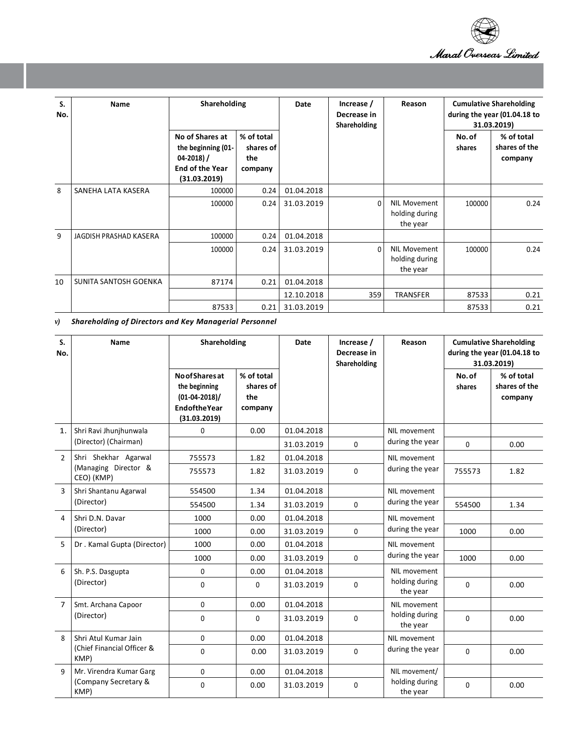

| S.<br>No. | Name                   | Shareholding                                                                                     |                                           | Date       | Increase /<br>Decrease in<br>Shareholding | Reason                                            | <b>Cumulative Shareholding</b><br>during the year (01.04.18 to<br>31.03.2019) |                                        |
|-----------|------------------------|--------------------------------------------------------------------------------------------------|-------------------------------------------|------------|-------------------------------------------|---------------------------------------------------|-------------------------------------------------------------------------------|----------------------------------------|
|           |                        | No of Shares at<br>the beginning (01-<br>$04-2018$ ) /<br><b>End of the Year</b><br>(31.03.2019) | % of total<br>shares of<br>the<br>company |            |                                           |                                                   | No.of<br>shares                                                               | % of total<br>shares of the<br>company |
| 8         | SANEHA LATA KASERA     | 100000                                                                                           | 0.24                                      | 01.04.2018 |                                           |                                                   |                                                                               |                                        |
|           |                        | 100000                                                                                           | 0.24                                      | 31.03.2019 | $\Omega$                                  | <b>NIL Movement</b><br>holding during<br>the year | 100000                                                                        | 0.24                                   |
| 9         | JAGDISH PRASHAD KASERA | 100000                                                                                           | 0.24                                      | 01.04.2018 |                                           |                                                   |                                                                               |                                        |
|           |                        | 100000                                                                                           | 0.24                                      | 31.03.2019 | 0                                         | NIL Movement<br>holding during<br>the year        | 100000                                                                        | 0.24                                   |
| 10        | SUNITA SANTOSH GOENKA  | 87174                                                                                            | 0.21                                      | 01.04.2018 |                                           |                                                   |                                                                               |                                        |
|           |                        |                                                                                                  |                                           | 12.10.2018 | 359                                       | <b>TRANSFER</b>                                   | 87533                                                                         | 0.21                                   |
|           |                        | 87533                                                                                            | 0.21                                      | 31.03.2019 |                                           |                                                   | 87533                                                                         | 0.21                                   |

*v) Shareholding of Directors and Key Managerial Personnel*

| S.<br>No.      | Name                               | Shareholding                                                                                       |                                           | <b>Date</b><br>Increase /<br>Decrease in<br>Shareholding |              | Reason                     | <b>Cumulative Shareholding</b><br>during the year (01.04.18 to<br>31.03.2019) |                                        |
|----------------|------------------------------------|----------------------------------------------------------------------------------------------------|-------------------------------------------|----------------------------------------------------------|--------------|----------------------------|-------------------------------------------------------------------------------|----------------------------------------|
|                |                                    | <b>No of Shares at</b><br>the beginning<br>$(01-04-2018)/$<br><b>Endofthe Year</b><br>(31.03.2019) | % of total<br>shares of<br>the<br>company |                                                          |              |                            | No.of<br>shares                                                               | % of total<br>shares of the<br>company |
| $\mathbf{1}$ . | Shri Ravi Jhunjhunwala             | 0                                                                                                  | 0.00                                      | 01.04.2018                                               |              | NIL movement               |                                                                               |                                        |
|                | (Director) (Chairman)              |                                                                                                    |                                           | 31.03.2019                                               | $\mathbf{0}$ | during the year            | $\Omega$                                                                      | 0.00                                   |
| $\overline{2}$ | Shri Shekhar Agarwal               | 755573                                                                                             | 1.82                                      | 01.04.2018                                               |              | NIL movement               |                                                                               |                                        |
|                | (Managing Director &<br>CEO) (KMP) | 755573                                                                                             | 1.82                                      | 31.03.2019                                               | $\mathbf{0}$ | during the year            | 755573                                                                        | 1.82                                   |
| 3              | Shri Shantanu Agarwal              | 554500                                                                                             | 1.34                                      | 01.04.2018                                               |              | NIL movement               |                                                                               |                                        |
|                | (Director)                         | 554500                                                                                             | 1.34                                      | 31.03.2019                                               | $\mathbf 0$  | during the year            | 554500                                                                        | 1.34                                   |
| 4              | Shri D.N. Davar                    | 1000                                                                                               | 0.00                                      | 01.04.2018                                               |              | NIL movement               |                                                                               |                                        |
|                | (Director)                         | 1000                                                                                               | 0.00                                      | 31.03.2019                                               | $\mathbf 0$  | during the year            | 1000                                                                          | 0.00                                   |
| 5              | Dr. Kamal Gupta (Director)         | 1000                                                                                               | 0.00                                      | 01.04.2018                                               |              | NIL movement               |                                                                               |                                        |
|                |                                    | 1000                                                                                               | 0.00                                      | 31.03.2019                                               | 0            | during the year            | 1000                                                                          | 0.00                                   |
| 6              | Sh. P.S. Dasgupta                  | 0                                                                                                  | 0.00                                      | 01.04.2018                                               |              | NIL movement               |                                                                               |                                        |
|                | (Director)                         | $\mathbf 0$                                                                                        | 0                                         | 31.03.2019                                               | $\mathbf 0$  | holding during<br>the year | 0                                                                             | 0.00                                   |
| $\overline{7}$ | Smt. Archana Capoor                | 0                                                                                                  | 0.00                                      | 01.04.2018                                               |              | NIL movement               |                                                                               |                                        |
|                | (Director)                         | $\mathbf 0$                                                                                        | 0                                         | 31.03.2019                                               | $\mathbf 0$  | holding during<br>the year | $\Omega$                                                                      | 0.00                                   |
| $\mathsf{R}$   | Shri Atul Kumar Jain               | 0                                                                                                  | 0.00                                      | 01.04.2018                                               |              | NIL movement               |                                                                               |                                        |
|                | (Chief Financial Officer &<br>KMP) | $\mathbf 0$                                                                                        | 0.00                                      | 31.03.2019                                               | $\mathbf 0$  | during the year            | $\Omega$                                                                      | 0.00                                   |
| 9              | Mr. Virendra Kumar Garg            | 0                                                                                                  | 0.00                                      | 01.04.2018                                               |              | NIL movement/              |                                                                               |                                        |
|                | (Company Secretary &<br>KMP)       | $\mathbf 0$                                                                                        | 0.00                                      | 31.03.2019                                               | $\mathbf 0$  | holding during<br>the year | 0                                                                             | 0.00                                   |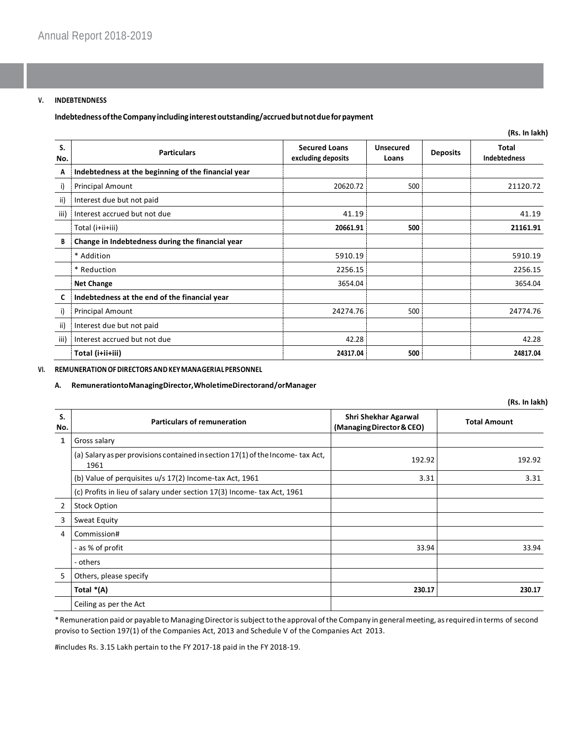### **V. INDEBTENDNESS**

**IndebtednessoftheCompanyincludinginterestoutstanding/accruedbutnotdueforpayment**

|           |                                                     |                                            |                           |                 | (Rs. In lakh)                       |
|-----------|-----------------------------------------------------|--------------------------------------------|---------------------------|-----------------|-------------------------------------|
| S.<br>No. | <b>Particulars</b>                                  | <b>Secured Loans</b><br>excluding deposits | <b>Unsecured</b><br>Loans | <b>Deposits</b> | <b>Total</b><br><b>Indebtedness</b> |
| Α         | Indebtedness at the beginning of the financial year |                                            |                           |                 |                                     |
| i)        | Principal Amount                                    | 20620.72                                   | 500                       |                 | 21120.72                            |
| ii)       | Interest due but not paid                           |                                            |                           |                 |                                     |
| iii)      | Interest accrued but not due                        | 41.19                                      |                           |                 | 41.19                               |
|           | Total (i+ii+iii)                                    | 20661.91                                   | 500                       |                 | 21161.91                            |
| B         | Change in Indebtedness during the financial year    |                                            |                           |                 |                                     |
|           | * Addition                                          | 5910.19                                    |                           |                 | 5910.19                             |
|           | * Reduction                                         | 2256.15                                    |                           |                 | 2256.15                             |
|           | <b>Net Change</b>                                   | 3654.04                                    |                           |                 | 3654.04                             |
| C         | Indebtedness at the end of the financial year       |                                            |                           |                 |                                     |
| i)        | Principal Amount                                    | 24274.76                                   | 500                       |                 | 24774.76                            |
| ii)       | Interest due but not paid                           |                                            |                           |                 |                                     |
| iii)      | Interest accrued but not due                        | 42.28                                      |                           |                 | 42.28                               |
|           | Total (i+ii+iii)                                    | 24317.04                                   | 500                       |                 | 24817.04                            |

## **VI. REMUNERATIONOFDIRECTORSANDKEYMANAGERIALPERSONNEL**

#### **A. RemunerationtoManagingDirector,WholetimeDirectorand/orManager**

| (Rs. In lakh)  |                                                                                          |                                                   |                     |  |  |  |  |
|----------------|------------------------------------------------------------------------------------------|---------------------------------------------------|---------------------|--|--|--|--|
| S.<br>No.      | <b>Particulars of remuneration</b>                                                       | Shri Shekhar Agarwal<br>(Managing Director & CEO) | <b>Total Amount</b> |  |  |  |  |
| 1              | Gross salary                                                                             |                                                   |                     |  |  |  |  |
|                | (a) Salary as per provisions contained in section $17(1)$ of the Income-tax Act,<br>1961 | 192.92                                            | 192.92              |  |  |  |  |
|                | (b) Value of perquisites u/s 17(2) Income-tax Act, 1961                                  | 3.31                                              | 3.31                |  |  |  |  |
|                | (c) Profits in lieu of salary under section 17(3) Income- tax Act, 1961                  |                                                   |                     |  |  |  |  |
| $\overline{2}$ | <b>Stock Option</b>                                                                      |                                                   |                     |  |  |  |  |
| 3              | Sweat Equity                                                                             |                                                   |                     |  |  |  |  |
| 4              | Commission#                                                                              |                                                   |                     |  |  |  |  |
|                | - as % of profit                                                                         | 33.94                                             | 33.94               |  |  |  |  |
|                | - others                                                                                 |                                                   |                     |  |  |  |  |
| 5              | Others, please specify                                                                   |                                                   |                     |  |  |  |  |
|                | Total *(A)                                                                               | 230.17                                            | 230.17              |  |  |  |  |
|                | Ceiling as per the Act                                                                   |                                                   |                     |  |  |  |  |

\*Remuneration paid or payable to ManagingDirectorissubjecttothe approval ofthe Company in generalmeeting, asrequired in terms of second proviso to Section 197(1) of the Companies Act, 2013 and Schedule V of the Companies Act 2013.

#includes Rs. 3.15 Lakh pertain to the FY 2017-18 paid in the FY 2018-19.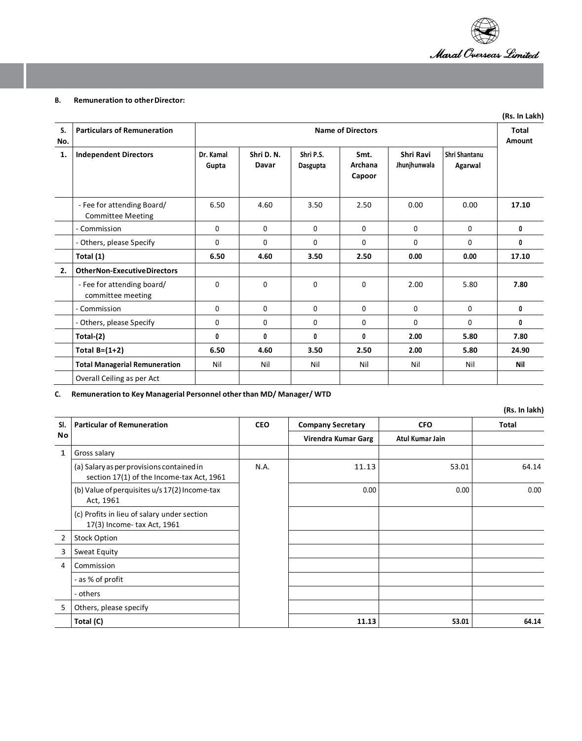

## **B.** Remuneration to other Director:

|           |                                                        |                          |                    |                       |                           |                           |                          | (Rs. In Lakh)          |
|-----------|--------------------------------------------------------|--------------------------|--------------------|-----------------------|---------------------------|---------------------------|--------------------------|------------------------|
| S.<br>No. | <b>Particulars of Remuneration</b>                     | <b>Name of Directors</b> |                    |                       |                           |                           |                          | <b>Total</b><br>Amount |
| 1.        | <b>Independent Directors</b>                           | Dr. Kamal<br>Gupta       | Shri D.N.<br>Davar | Shri P.S.<br>Dasgupta | Smt.<br>Archana<br>Capoor | Shri Ravi<br>Jhunjhunwala | Shri Shantanu<br>Agarwal |                        |
|           | - Fee for attending Board/<br><b>Committee Meeting</b> | 6.50                     | 4.60               | 3.50                  | 2.50                      | 0.00                      | 0.00                     | 17.10                  |
|           | - Commission                                           | 0                        | $\mathbf 0$        | $\Omega$              | $\Omega$                  | $\Omega$                  | $\Omega$                 | 0                      |
|           | - Others, please Specify                               | 0                        | 0                  | $\mathbf{0}$          | $\Omega$                  | $\Omega$                  | $\Omega$                 | 0                      |
|           | Total (1)                                              | 6.50                     | 4.60               | 3.50                  | 2.50                      | 0.00                      | 0.00                     | 17.10                  |
| 2.        | <b>OtherNon-ExecutiveDirectors</b>                     |                          |                    |                       |                           |                           |                          |                        |
|           | - Fee for attending board/<br>committee meeting        | 0                        | $\mathbf 0$        | $\Omega$              | $\Omega$                  | 2.00                      | 5.80                     | 7.80                   |
|           | - Commission                                           | $\mathbf 0$              | $\mathbf 0$        | $\mathbf{0}$          | $\Omega$                  | $\Omega$                  | $\Omega$                 | 0                      |
|           | - Others, please Specify                               | $\Omega$                 | $\mathbf 0$        | $\mathbf{0}$          | $\Omega$                  | $\Omega$                  | $\Omega$                 | 0                      |
|           | Total-(2)                                              | $\mathbf{0}$             | 0                  | 0                     | $\mathbf{0}$              | 2.00                      | 5.80                     | 7.80                   |
|           | Total $B=(1+2)$                                        | 6.50                     | 4.60               | 3.50                  | 2.50                      | 2.00                      | 5.80                     | 24.90                  |
|           | <b>Total Managerial Remuneration</b>                   | Nil                      | Nil                | Nil                   | Nil                       | Nil                       | Nil                      | Nil                    |
|           | Overall Ceiling as per Act                             |                          |                    |                       |                           |                           |                          |                        |

**C. Remuneration to Key Managerial Personnel otherthan MD/ Manager/ WTD**

**(Rs. In lakh)**

| SI.            | <b>Particular of Remuneration</b>                                                      | <b>CEO</b> | <b>Company Secretary</b> | <b>CFO</b>      | Total |  |
|----------------|----------------------------------------------------------------------------------------|------------|--------------------------|-----------------|-------|--|
| No             |                                                                                        |            | Virendra Kumar Garg      | Atul Kumar Jain |       |  |
| 1              | Gross salary                                                                           |            |                          |                 |       |  |
|                | (a) Salary as per provisions contained in<br>section 17(1) of the Income-tax Act, 1961 | N.A.       | 11.13                    | 53.01           | 64.14 |  |
|                | (b) Value of perquisites u/s 17(2) Income-tax<br>Act, 1961                             |            | 0.00                     | 0.00            | 0.00  |  |
|                | (c) Profits in lieu of salary under section<br>17(3) Income- tax Act, 1961             |            |                          |                 |       |  |
| $\overline{2}$ | <b>Stock Option</b>                                                                    |            |                          |                 |       |  |
| 3              | Sweat Equity                                                                           |            |                          |                 |       |  |
| 4              | Commission                                                                             |            |                          |                 |       |  |
|                | - as % of profit                                                                       |            |                          |                 |       |  |
|                | - others                                                                               |            |                          |                 |       |  |
| 5              | Others, please specify                                                                 |            |                          |                 |       |  |
|                | Total (C)                                                                              |            | 11.13                    | 53.01           | 64.14 |  |